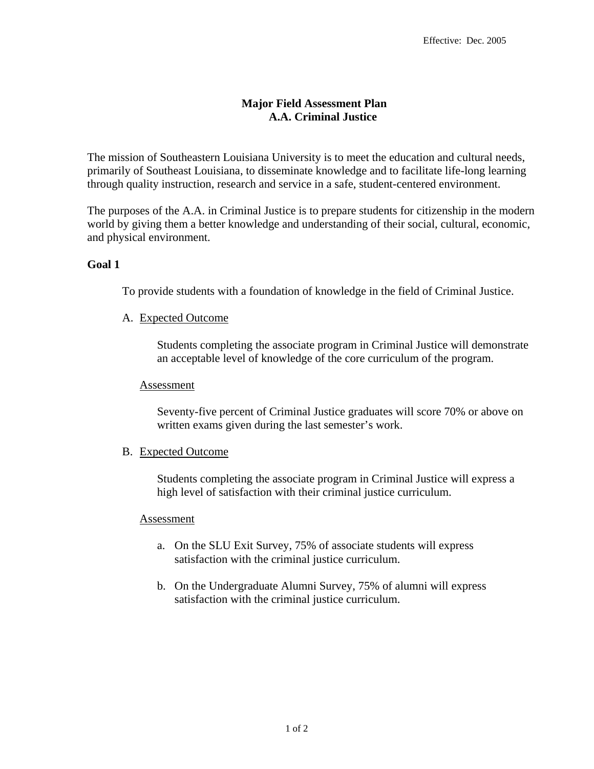# **Major Field Assessment Plan A.A. Criminal Justice**

The mission of Southeastern Louisiana University is to meet the education and cultural needs, primarily of Southeast Louisiana, to disseminate knowledge and to facilitate life-long learning through quality instruction, research and service in a safe, student-centered environment.

The purposes of the A.A. in Criminal Justice is to prepare students for citizenship in the modern world by giving them a better knowledge and understanding of their social, cultural, economic, and physical environment.

## **Goal 1**

To provide students with a foundation of knowledge in the field of Criminal Justice.

### A. Expected Outcome

Students completing the associate program in Criminal Justice will demonstrate an acceptable level of knowledge of the core curriculum of the program.

### Assessment

Seventy-five percent of Criminal Justice graduates will score 70% or above on written exams given during the last semester's work.

### B. Expected Outcome

Students completing the associate program in Criminal Justice will express a high level of satisfaction with their criminal justice curriculum.

### Assessment

- a. On the SLU Exit Survey, 75% of associate students will express satisfaction with the criminal justice curriculum.
- b. On the Undergraduate Alumni Survey, 75% of alumni will express satisfaction with the criminal justice curriculum.